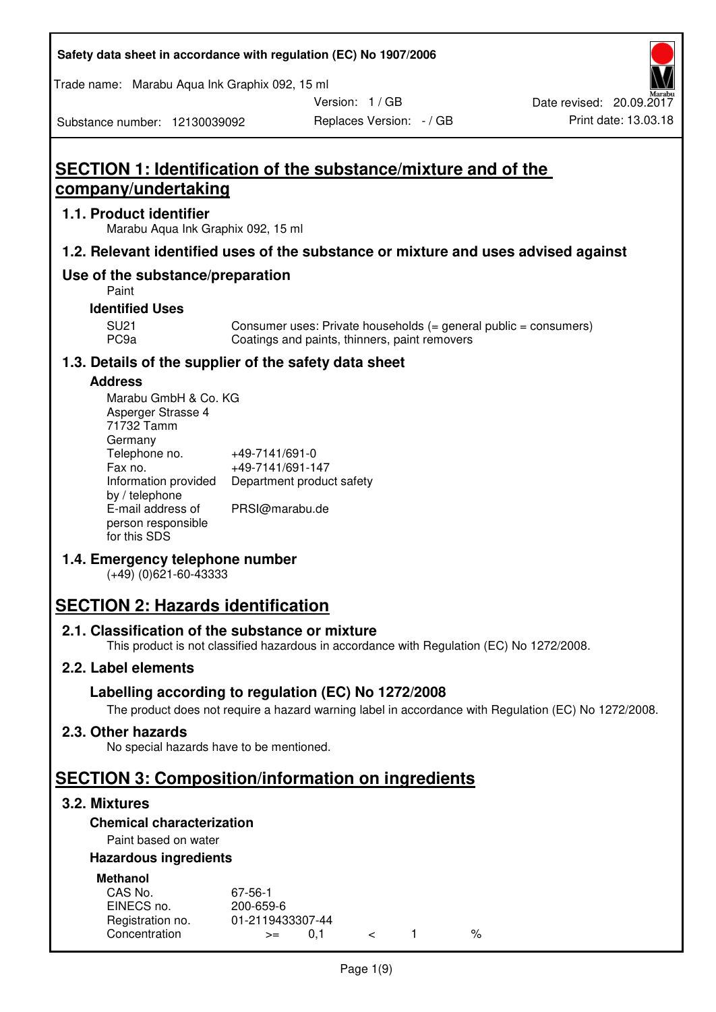### **Safety data sheet in accordance with regulation (EC) No 1907/2006**

Trade name: Marabu Aqua Ink Graphix 092, 15 ml

Version: 1 / GB

Substance number: 12130039092

# **SECTION 1: Identification of the substance/mixture and of the company/undertaking**

## **1.1. Product identifier**

Marabu Aqua Ink Graphix 092, 15 ml

## **1.2. Relevant identified uses of the substance or mixture and uses advised against**

# **Use of the substance/preparation**

Paint

## **Identified Uses**

SU21 Consumer uses: Private households (= general public = consumers)<br>PC9a Coatings and paints, thinners, paint removers Coatings and paints, thinners, paint removers

# **1.3. Details of the supplier of the safety data sheet**

### **Address**

| Marabu GmbH & Co. KG |                           |
|----------------------|---------------------------|
| Asperger Strasse 4   |                           |
| 71732 Tamm           |                           |
| Germany              |                           |
| Telephone no.        | +49-7141/691-0            |
| Fax no.              | +49-7141/691-147          |
| Information provided | Department product safety |
| by / telephone       |                           |
| E-mail address of    | PRSI@marabu.de            |
| person responsible   |                           |
| for this SDS         |                           |

# **1.4. Emergency telephone number**

(+49) (0)621-60-43333

# **SECTION 2: Hazards identification**

### **2.1. Classification of the substance or mixture**

This product is not classified hazardous in accordance with Regulation (EC) No 1272/2008.

# **2.2. Label elements**

# **Labelling according to regulation (EC) No 1272/2008**

The product does not require a hazard warning label in accordance with Regulation (EC) No 1272/2008.

# **2.3. Other hazards**

No special hazards have to be mentioned.

# **SECTION 3: Composition/information on ingredients**

# **3.2. Mixtures**

# **Chemical characterization**

# Paint based on water

## **Hazardous ingredients**

| <b>Methanol</b>  |                  |  |   |
|------------------|------------------|--|---|
| CAS No.          | 67-56-1          |  |   |
| EINECS no.       | 200-659-6        |  |   |
| Registration no. | 01-2119433307-44 |  |   |
| Concentration    | O 1<br>$>=$      |  | % |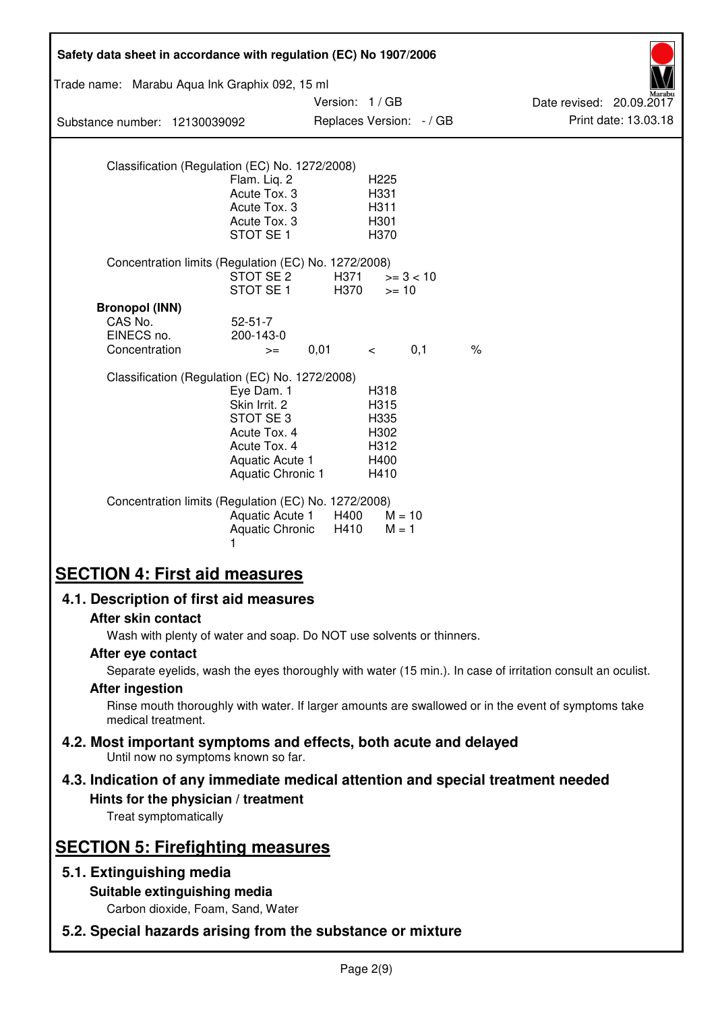| Safety data sheet in accordance with regulation (EC) No 1907/2006                                                                               |                                                                                                                 |                                           |                                                      |             |                                                                                                            |
|-------------------------------------------------------------------------------------------------------------------------------------------------|-----------------------------------------------------------------------------------------------------------------|-------------------------------------------|------------------------------------------------------|-------------|------------------------------------------------------------------------------------------------------------|
| Trade name: Marabu Aqua Ink Graphix 092, 15 ml                                                                                                  |                                                                                                                 |                                           |                                                      |             |                                                                                                            |
| Substance number: 12130039092                                                                                                                   |                                                                                                                 | Version: 1/GB<br>Replaces Version: - / GB |                                                      |             | Date revised: 20.09.2017<br>Print date: 13.03.18                                                           |
|                                                                                                                                                 |                                                                                                                 |                                           |                                                      |             |                                                                                                            |
| Classification (Regulation (EC) No. 1272/2008)                                                                                                  | Flam. Liq. 2<br>Acute Tox. 3<br>Acute Tox. 3<br>Acute Tox. 3<br>STOT SE <sub>1</sub>                            |                                           | H225<br>H331<br>H311<br>H301<br>H370                 |             |                                                                                                            |
| Concentration limits (Regulation (EC) No. 1272/2008)                                                                                            | STOT SE 2<br>STOT SE <sub>1</sub>                                                                               | H371<br>H370                              | $>= 10$                                              | $>= 3 < 10$ |                                                                                                            |
| <b>Bronopol (INN)</b><br>CAS No.<br>EINECS no.<br>Concentration                                                                                 | $52 - 51 - 7$<br>200-143-0<br>$>=$                                                                              | 0,01                                      | $\lt$                                                | 0,1         | $\frac{1}{6}$                                                                                              |
| Classification (Regulation (EC) No. 1272/2008)                                                                                                  | Eye Dam. 1<br>Skin Irrit. 2<br>STOT SE3<br>Acute Tox. 4<br>Acute Tox. 4<br>Aquatic Acute 1<br>Aquatic Chronic 1 |                                           | H318<br>H315<br>H335<br>H302<br>H312<br>H400<br>H410 |             |                                                                                                            |
| Concentration limits (Regulation (EC) No. 1272/2008)                                                                                            | Aquatic Acute 1<br><b>Aquatic Chronic</b><br>1                                                                  | H400<br>H410                              | $M = 10$<br>$M = 1$                                  |             |                                                                                                            |
| <b>SECTION 4: First aid measures</b>                                                                                                            |                                                                                                                 |                                           |                                                      |             |                                                                                                            |
| 4.1. Description of first aid measures                                                                                                          |                                                                                                                 |                                           |                                                      |             |                                                                                                            |
| After skin contact                                                                                                                              |                                                                                                                 |                                           |                                                      |             |                                                                                                            |
| Wash with plenty of water and soap. Do NOT use solvents or thinners.<br>After eye contact                                                       |                                                                                                                 |                                           |                                                      |             |                                                                                                            |
|                                                                                                                                                 |                                                                                                                 |                                           |                                                      |             | Separate eyelids, wash the eyes thoroughly with water (15 min.). In case of irritation consult an oculist. |
| <b>After ingestion</b><br>medical treatment.                                                                                                    |                                                                                                                 |                                           |                                                      |             | Rinse mouth thoroughly with water. If larger amounts are swallowed or in the event of symptoms take        |
| 4.2. Most important symptoms and effects, both acute and delayed<br>Until now no symptoms known so far.                                         |                                                                                                                 |                                           |                                                      |             |                                                                                                            |
| 4.3. Indication of any immediate medical attention and special treatment needed<br>Hints for the physician / treatment<br>Treat symptomatically |                                                                                                                 |                                           |                                                      |             |                                                                                                            |
| <b>SECTION 5: Firefighting measures</b>                                                                                                         |                                                                                                                 |                                           |                                                      |             |                                                                                                            |
| 5.1. Extinguishing media                                                                                                                        |                                                                                                                 |                                           |                                                      |             |                                                                                                            |
| Suitable extinguishing media<br>Carbon dioxide, Foam, Sand, Water                                                                               |                                                                                                                 |                                           |                                                      |             |                                                                                                            |
| 5.2. Special hazards arising from the substance or mixture                                                                                      |                                                                                                                 |                                           |                                                      |             |                                                                                                            |
|                                                                                                                                                 |                                                                                                                 |                                           |                                                      |             |                                                                                                            |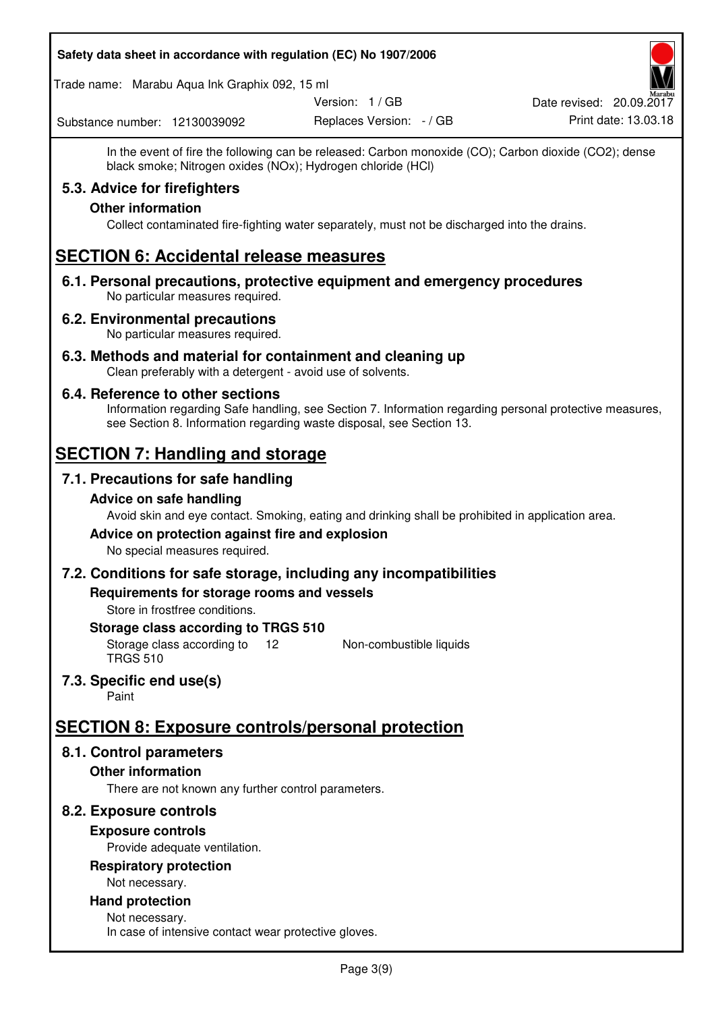### **Safety data sheet in accordance with regulation (EC) No 1907/2006**

Trade name: Marabu Aqua Ink Graphix 092, 15 ml

Version: 1 / GB

Replaces Version: - / GB Print date: 13.03.18 Date revised: 20.09.2017

Substance number: 12130039092

In the event of fire the following can be released: Carbon monoxide (CO); Carbon dioxide (CO2); dense black smoke; Nitrogen oxides (NOx); Hydrogen chloride (HCl)

# **5.3. Advice for firefighters**

## **Other information**

Collect contaminated fire-fighting water separately, must not be discharged into the drains.

# **SECTION 6: Accidental release measures**

**6.1. Personal precautions, protective equipment and emergency procedures**  No particular measures required.

### **6.2. Environmental precautions**

No particular measures required.

**6.3. Methods and material for containment and cleaning up**  Clean preferably with a detergent - avoid use of solvents.

### **6.4. Reference to other sections**

Information regarding Safe handling, see Section 7. Information regarding personal protective measures, see Section 8. Information regarding waste disposal, see Section 13.

# **SECTION 7: Handling and storage**

# **7.1. Precautions for safe handling**

### **Advice on safe handling**

Avoid skin and eye contact. Smoking, eating and drinking shall be prohibited in application area.

# **Advice on protection against fire and explosion**

No special measures required.

### **7.2. Conditions for safe storage, including any incompatibilities**

**Requirements for storage rooms and vessels** 

Store in frostfree conditions.

### **Storage class according to TRGS 510**

Storage class according to 12 TRGS 510 Non-combustible liquids

# **7.3. Specific end use(s)**

Paint

# **SECTION 8: Exposure controls/personal protection**

# **8.1. Control parameters**

# **Other information**

There are not known any further control parameters.

# **8.2. Exposure controls**

# **Exposure controls**

Provide adequate ventilation.

# **Respiratory protection**

Not necessary.

#### **Hand protection**  Not necessary.

In case of intensive contact wear protective gloves.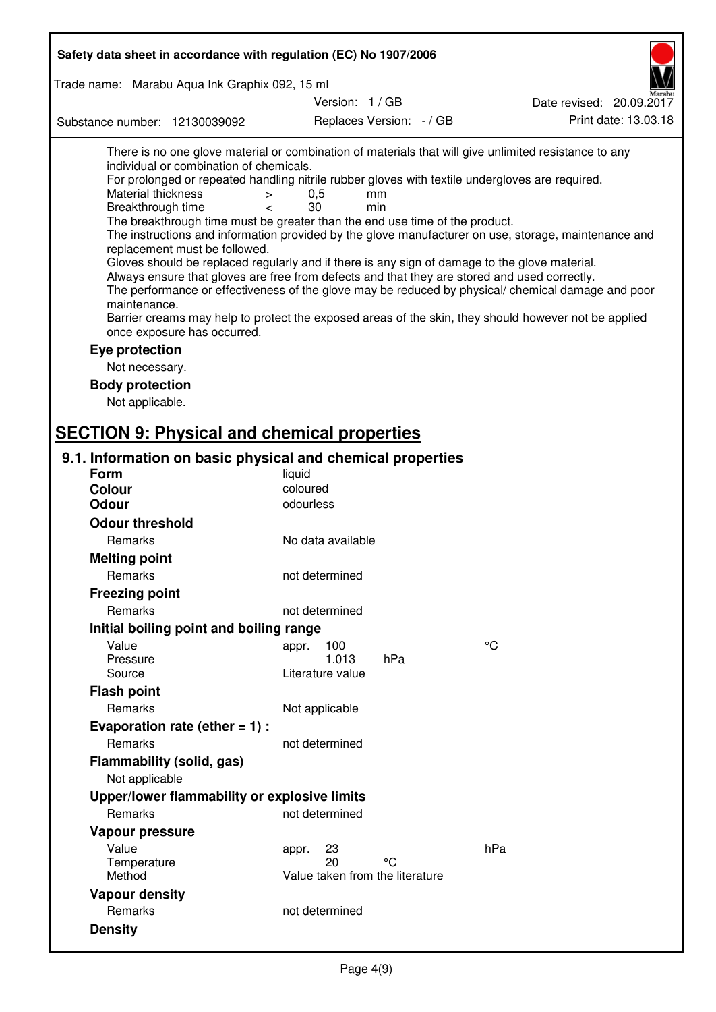| Safety data sheet in accordance with regulation (EC) No 1907/2006                                                                                                                                                                                                                                                                                                                                                                                                                                                                                                                                                                                                                                                                                                                                                                                                                                                                                                                                                                                                                                                                                                       |                                 |                          |                          |
|-------------------------------------------------------------------------------------------------------------------------------------------------------------------------------------------------------------------------------------------------------------------------------------------------------------------------------------------------------------------------------------------------------------------------------------------------------------------------------------------------------------------------------------------------------------------------------------------------------------------------------------------------------------------------------------------------------------------------------------------------------------------------------------------------------------------------------------------------------------------------------------------------------------------------------------------------------------------------------------------------------------------------------------------------------------------------------------------------------------------------------------------------------------------------|---------------------------------|--------------------------|--------------------------|
| Trade name: Marabu Aqua Ink Graphix 092, 15 ml                                                                                                                                                                                                                                                                                                                                                                                                                                                                                                                                                                                                                                                                                                                                                                                                                                                                                                                                                                                                                                                                                                                          |                                 |                          |                          |
|                                                                                                                                                                                                                                                                                                                                                                                                                                                                                                                                                                                                                                                                                                                                                                                                                                                                                                                                                                                                                                                                                                                                                                         | Version: 1 / GB                 |                          | Date revised: 20.09.2017 |
| Substance number: 12130039092                                                                                                                                                                                                                                                                                                                                                                                                                                                                                                                                                                                                                                                                                                                                                                                                                                                                                                                                                                                                                                                                                                                                           |                                 | Replaces Version: - / GB | Print date: 13.03.18     |
| There is no one glove material or combination of materials that will give unlimited resistance to any<br>individual or combination of chemicals.<br>For prolonged or repeated handling nitrile rubber gloves with textile undergloves are required.<br><b>Material thickness</b><br>$\,>$<br>Breakthrough time<br>$\overline{\phantom{a}}$<br>The breakthrough time must be greater than the end use time of the product.<br>The instructions and information provided by the glove manufacturer on use, storage, maintenance and<br>replacement must be followed.<br>Gloves should be replaced regularly and if there is any sign of damage to the glove material.<br>Always ensure that gloves are free from defects and that they are stored and used correctly.<br>The performance or effectiveness of the glove may be reduced by physical/ chemical damage and poor<br>maintenance.<br>Barrier creams may help to protect the exposed areas of the skin, they should however not be applied<br>once exposure has occurred.<br>Eye protection<br>Not necessary.<br><b>Body protection</b><br>Not applicable.<br><b>SECTION 9: Physical and chemical properties</b> | 0,5<br>30                       | mm<br>min                |                          |
|                                                                                                                                                                                                                                                                                                                                                                                                                                                                                                                                                                                                                                                                                                                                                                                                                                                                                                                                                                                                                                                                                                                                                                         |                                 |                          |                          |
| 9.1. Information on basic physical and chemical properties                                                                                                                                                                                                                                                                                                                                                                                                                                                                                                                                                                                                                                                                                                                                                                                                                                                                                                                                                                                                                                                                                                              |                                 |                          |                          |
| <b>Form</b><br><b>Colour</b>                                                                                                                                                                                                                                                                                                                                                                                                                                                                                                                                                                                                                                                                                                                                                                                                                                                                                                                                                                                                                                                                                                                                            | liquid<br>coloured              |                          |                          |
| <b>Odour</b>                                                                                                                                                                                                                                                                                                                                                                                                                                                                                                                                                                                                                                                                                                                                                                                                                                                                                                                                                                                                                                                                                                                                                            | odourless                       |                          |                          |
| <b>Odour threshold</b>                                                                                                                                                                                                                                                                                                                                                                                                                                                                                                                                                                                                                                                                                                                                                                                                                                                                                                                                                                                                                                                                                                                                                  |                                 |                          |                          |
| Remarks                                                                                                                                                                                                                                                                                                                                                                                                                                                                                                                                                                                                                                                                                                                                                                                                                                                                                                                                                                                                                                                                                                                                                                 | No data available               |                          |                          |
| <b>Melting point</b>                                                                                                                                                                                                                                                                                                                                                                                                                                                                                                                                                                                                                                                                                                                                                                                                                                                                                                                                                                                                                                                                                                                                                    |                                 |                          |                          |
| Remarks                                                                                                                                                                                                                                                                                                                                                                                                                                                                                                                                                                                                                                                                                                                                                                                                                                                                                                                                                                                                                                                                                                                                                                 | not determined                  |                          |                          |
| <b>Freezing point</b>                                                                                                                                                                                                                                                                                                                                                                                                                                                                                                                                                                                                                                                                                                                                                                                                                                                                                                                                                                                                                                                                                                                                                   |                                 |                          |                          |
| Remarks                                                                                                                                                                                                                                                                                                                                                                                                                                                                                                                                                                                                                                                                                                                                                                                                                                                                                                                                                                                                                                                                                                                                                                 | not determined                  |                          |                          |
| Initial boiling point and boiling range                                                                                                                                                                                                                                                                                                                                                                                                                                                                                                                                                                                                                                                                                                                                                                                                                                                                                                                                                                                                                                                                                                                                 |                                 |                          |                          |
| Value                                                                                                                                                                                                                                                                                                                                                                                                                                                                                                                                                                                                                                                                                                                                                                                                                                                                                                                                                                                                                                                                                                                                                                   | 100<br>appr.                    |                          | °C                       |
| Pressure                                                                                                                                                                                                                                                                                                                                                                                                                                                                                                                                                                                                                                                                                                                                                                                                                                                                                                                                                                                                                                                                                                                                                                | 1.013                           | hPa                      |                          |
| Source                                                                                                                                                                                                                                                                                                                                                                                                                                                                                                                                                                                                                                                                                                                                                                                                                                                                                                                                                                                                                                                                                                                                                                  | Literature value                |                          |                          |
| <b>Flash point</b>                                                                                                                                                                                                                                                                                                                                                                                                                                                                                                                                                                                                                                                                                                                                                                                                                                                                                                                                                                                                                                                                                                                                                      |                                 |                          |                          |
| Remarks                                                                                                                                                                                                                                                                                                                                                                                                                                                                                                                                                                                                                                                                                                                                                                                                                                                                                                                                                                                                                                                                                                                                                                 | Not applicable                  |                          |                          |
| Evaporation rate (ether $= 1$ ) :                                                                                                                                                                                                                                                                                                                                                                                                                                                                                                                                                                                                                                                                                                                                                                                                                                                                                                                                                                                                                                                                                                                                       |                                 |                          |                          |
| Remarks                                                                                                                                                                                                                                                                                                                                                                                                                                                                                                                                                                                                                                                                                                                                                                                                                                                                                                                                                                                                                                                                                                                                                                 | not determined                  |                          |                          |
| Flammability (solid, gas)                                                                                                                                                                                                                                                                                                                                                                                                                                                                                                                                                                                                                                                                                                                                                                                                                                                                                                                                                                                                                                                                                                                                               |                                 |                          |                          |
| Not applicable                                                                                                                                                                                                                                                                                                                                                                                                                                                                                                                                                                                                                                                                                                                                                                                                                                                                                                                                                                                                                                                                                                                                                          |                                 |                          |                          |
| Upper/lower flammability or explosive limits                                                                                                                                                                                                                                                                                                                                                                                                                                                                                                                                                                                                                                                                                                                                                                                                                                                                                                                                                                                                                                                                                                                            |                                 |                          |                          |
| Remarks                                                                                                                                                                                                                                                                                                                                                                                                                                                                                                                                                                                                                                                                                                                                                                                                                                                                                                                                                                                                                                                                                                                                                                 | not determined                  |                          |                          |
| Vapour pressure                                                                                                                                                                                                                                                                                                                                                                                                                                                                                                                                                                                                                                                                                                                                                                                                                                                                                                                                                                                                                                                                                                                                                         |                                 |                          |                          |
| Value                                                                                                                                                                                                                                                                                                                                                                                                                                                                                                                                                                                                                                                                                                                                                                                                                                                                                                                                                                                                                                                                                                                                                                   | 23<br>appr.                     |                          | hPa                      |
| Temperature                                                                                                                                                                                                                                                                                                                                                                                                                                                                                                                                                                                                                                                                                                                                                                                                                                                                                                                                                                                                                                                                                                                                                             | 20                              | °C                       |                          |
| Method                                                                                                                                                                                                                                                                                                                                                                                                                                                                                                                                                                                                                                                                                                                                                                                                                                                                                                                                                                                                                                                                                                                                                                  | Value taken from the literature |                          |                          |
| <b>Vapour density</b>                                                                                                                                                                                                                                                                                                                                                                                                                                                                                                                                                                                                                                                                                                                                                                                                                                                                                                                                                                                                                                                                                                                                                   |                                 |                          |                          |
| Remarks                                                                                                                                                                                                                                                                                                                                                                                                                                                                                                                                                                                                                                                                                                                                                                                                                                                                                                                                                                                                                                                                                                                                                                 | not determined                  |                          |                          |
| <b>Density</b>                                                                                                                                                                                                                                                                                                                                                                                                                                                                                                                                                                                                                                                                                                                                                                                                                                                                                                                                                                                                                                                                                                                                                          |                                 |                          |                          |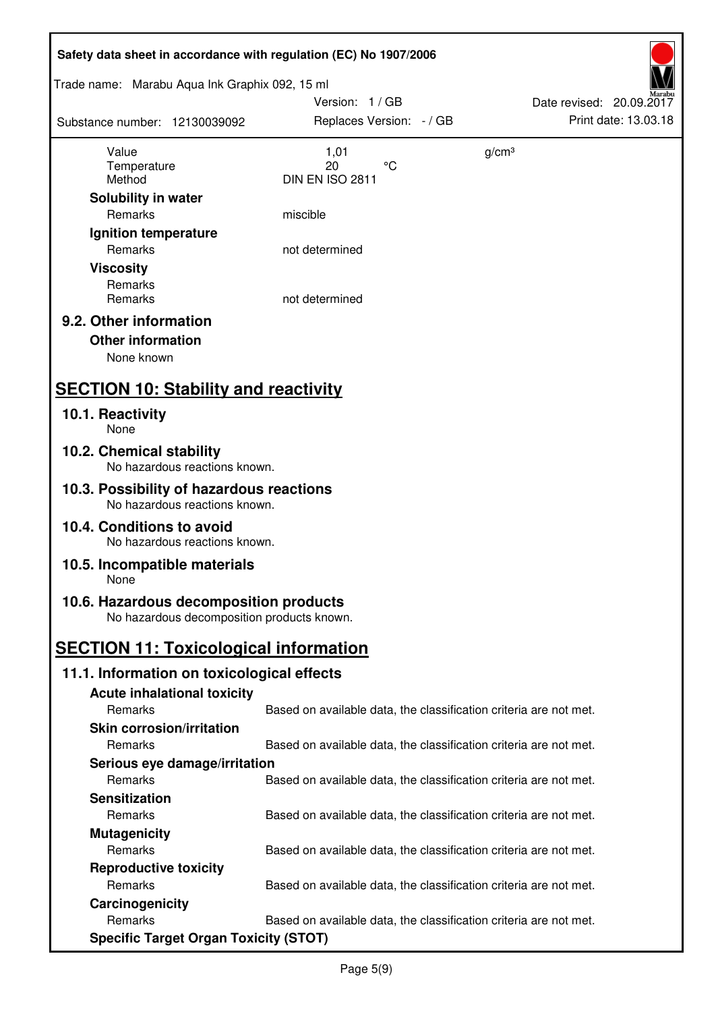| Safety data sheet in accordance with regulation (EC) No 1907/2006                    |                                                                   |                          |
|--------------------------------------------------------------------------------------|-------------------------------------------------------------------|--------------------------|
| Trade name: Marabu Aqua Ink Graphix 092, 15 ml                                       |                                                                   |                          |
|                                                                                      | Version: 1 / GB                                                   | Date revised: 20.09.2017 |
| Substance number: 12130039092                                                        | Replaces Version: - / GB                                          | Print date: 13.03.18     |
|                                                                                      |                                                                   |                          |
| Value<br>Temperature                                                                 | 1,01<br>$\rm ^{\circ}C$<br>20                                     | g/cm <sup>3</sup>        |
| Method                                                                               | DIN EN ISO 2811                                                   |                          |
| Solubility in water                                                                  |                                                                   |                          |
| Remarks                                                                              | miscible                                                          |                          |
| Ignition temperature                                                                 |                                                                   |                          |
| Remarks                                                                              | not determined                                                    |                          |
| <b>Viscosity</b>                                                                     |                                                                   |                          |
| Remarks                                                                              |                                                                   |                          |
| Remarks                                                                              | not determined                                                    |                          |
| 9.2. Other information                                                               |                                                                   |                          |
|                                                                                      |                                                                   |                          |
| <b>Other information</b>                                                             |                                                                   |                          |
| None known                                                                           |                                                                   |                          |
| <b>SECTION 10: Stability and reactivity</b>                                          |                                                                   |                          |
| 10.1. Reactivity                                                                     |                                                                   |                          |
| None                                                                                 |                                                                   |                          |
| 10.2. Chemical stability<br>No hazardous reactions known.                            |                                                                   |                          |
| 10.3. Possibility of hazardous reactions<br>No hazardous reactions known.            |                                                                   |                          |
| 10.4. Conditions to avoid<br>No hazardous reactions known.                           |                                                                   |                          |
| 10.5. Incompatible materials<br>None                                                 |                                                                   |                          |
|                                                                                      |                                                                   |                          |
| 10.6. Hazardous decomposition products<br>No hazardous decomposition products known. |                                                                   |                          |
| <b>SECTION 11: Toxicological information</b>                                         |                                                                   |                          |
| 11.1. Information on toxicological effects                                           |                                                                   |                          |
| <b>Acute inhalational toxicity</b>                                                   |                                                                   |                          |
| Remarks                                                                              | Based on available data, the classification criteria are not met. |                          |
|                                                                                      |                                                                   |                          |
| <b>Skin corrosion/irritation</b>                                                     |                                                                   |                          |
| Remarks                                                                              | Based on available data, the classification criteria are not met. |                          |
| Serious eye damage/irritation                                                        |                                                                   |                          |
| Remarks                                                                              | Based on available data, the classification criteria are not met. |                          |
| <b>Sensitization</b>                                                                 |                                                                   |                          |
| Remarks                                                                              | Based on available data, the classification criteria are not met. |                          |
| <b>Mutagenicity</b>                                                                  |                                                                   |                          |
| Remarks                                                                              | Based on available data, the classification criteria are not met. |                          |
| <b>Reproductive toxicity</b>                                                         |                                                                   |                          |
| Remarks                                                                              | Based on available data, the classification criteria are not met. |                          |
| Carcinogenicity                                                                      |                                                                   |                          |
| Remarks                                                                              | Based on available data, the classification criteria are not met. |                          |
| <b>Specific Target Organ Toxicity (STOT)</b>                                         |                                                                   |                          |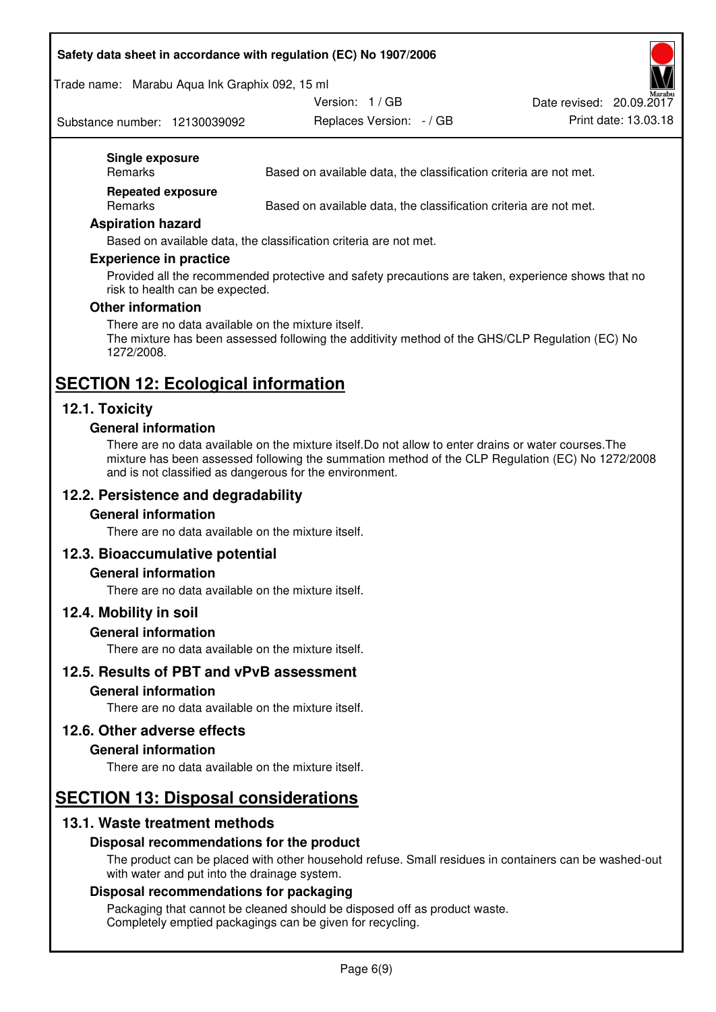### **Safety data sheet in accordance with regulation (EC) No 1907/2006**

Trade name: Marabu Aqua Ink Graphix 092, 15 ml

Substance number: 12130039092

Version: 1 / GB

Replaces Version:  $-$  / GB Print date: 13.03.18 Date revised: 20.09.2017

### **Single exposure**

Remarks Based on available data, the classification criteria are not met.

**Repeated exposure** 

Remarks Based on available data, the classification criteria are not met.

#### **Aspiration hazard**

Based on available data, the classification criteria are not met.

#### **Experience in practice**

Provided all the recommended protective and safety precautions are taken, experience shows that no risk to health can be expected.

#### **Other information**

There are no data available on the mixture itself. The mixture has been assessed following the additivity method of the GHS/CLP Regulation (EC) No 1272/2008.

# **SECTION 12: Ecological information**

### **12.1. Toxicity**

### **General information**

There are no data available on the mixture itself.Do not allow to enter drains or water courses.The mixture has been assessed following the summation method of the CLP Regulation (EC) No 1272/2008 and is not classified as dangerous for the environment.

### **12.2. Persistence and degradability**

### **General information**

There are no data available on the mixture itself.

### **12.3. Bioaccumulative potential**

### **General information**

There are no data available on the mixture itself.

### **12.4. Mobility in soil**

### **General information**

There are no data available on the mixture itself.

### **12.5. Results of PBT and vPvB assessment**

### **General information**

There are no data available on the mixture itself.

### **12.6. Other adverse effects**

### **General information**

There are no data available on the mixture itself.

# **SECTION 13: Disposal considerations**

# **13.1. Waste treatment methods**

### **Disposal recommendations for the product**

The product can be placed with other household refuse. Small residues in containers can be washed-out with water and put into the drainage system.

### **Disposal recommendations for packaging**

Packaging that cannot be cleaned should be disposed off as product waste. Completely emptied packagings can be given for recycling.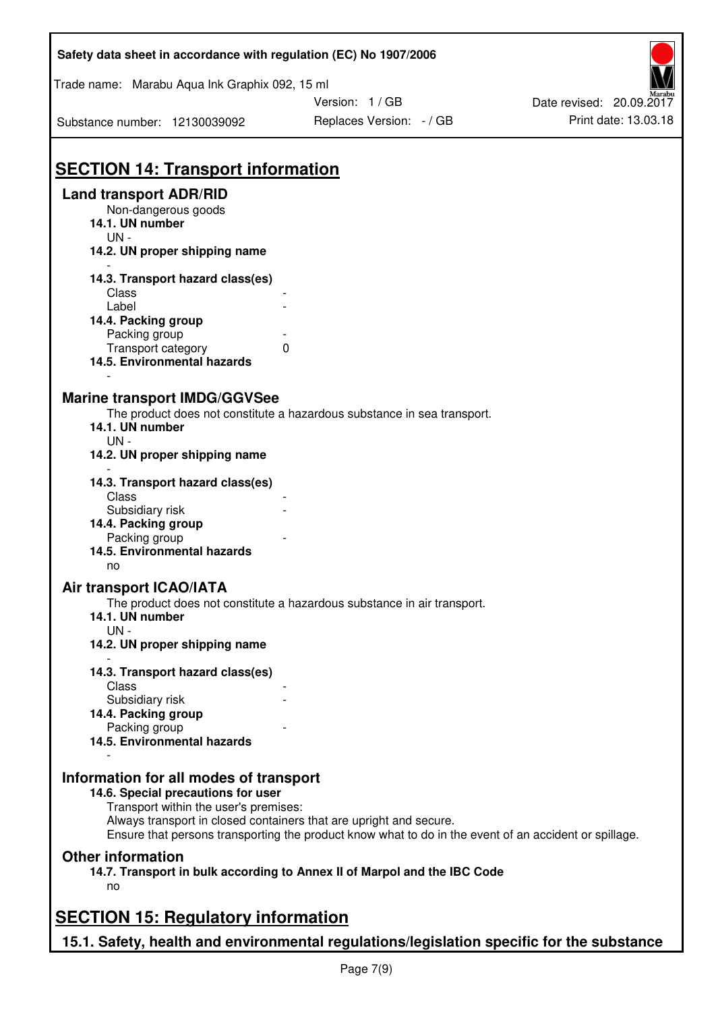| Safety data sheet in accordance with regulation (EC) No 1907/2006                                                                                                                           |                                                                                                       |                          |
|---------------------------------------------------------------------------------------------------------------------------------------------------------------------------------------------|-------------------------------------------------------------------------------------------------------|--------------------------|
| Trade name: Marabu Aqua Ink Graphix 092, 15 ml                                                                                                                                              |                                                                                                       |                          |
|                                                                                                                                                                                             | Version: 1 / GB                                                                                       | Date revised: 20.09.2017 |
| Substance number: 12130039092                                                                                                                                                               | Replaces Version: - / GB                                                                              | Print date: 13.03.18     |
| <b>SECTION 14: Transport information</b>                                                                                                                                                    |                                                                                                       |                          |
| <b>Land transport ADR/RID</b>                                                                                                                                                               |                                                                                                       |                          |
| Non-dangerous goods<br>14.1. UN number<br>$UN -$                                                                                                                                            |                                                                                                       |                          |
| 14.2. UN proper shipping name                                                                                                                                                               |                                                                                                       |                          |
| 14.3. Transport hazard class(es)                                                                                                                                                            |                                                                                                       |                          |
| Class                                                                                                                                                                                       |                                                                                                       |                          |
| Label                                                                                                                                                                                       |                                                                                                       |                          |
| 14.4. Packing group                                                                                                                                                                         |                                                                                                       |                          |
| Packing group<br>Transport category                                                                                                                                                         | 0                                                                                                     |                          |
| 14.5. Environmental hazards                                                                                                                                                                 |                                                                                                       |                          |
| <b>Marine transport IMDG/GGVSee</b><br>14.1. UN number<br>$UN -$<br>14.2. UN proper shipping name                                                                                           | The product does not constitute a hazardous substance in sea transport.                               |                          |
| 14.3. Transport hazard class(es)                                                                                                                                                            |                                                                                                       |                          |
| Class                                                                                                                                                                                       |                                                                                                       |                          |
| Subsidiary risk                                                                                                                                                                             |                                                                                                       |                          |
| 14.4. Packing group                                                                                                                                                                         |                                                                                                       |                          |
| Packing group<br>14.5. Environmental hazards                                                                                                                                                |                                                                                                       |                          |
| no                                                                                                                                                                                          |                                                                                                       |                          |
| Air transport ICAO/IATA                                                                                                                                                                     |                                                                                                       |                          |
| 14.1. UN number<br>UN-                                                                                                                                                                      | The product does not constitute a hazardous substance in air transport.                               |                          |
| 14.2. UN proper shipping name                                                                                                                                                               |                                                                                                       |                          |
| 14.3. Transport hazard class(es)                                                                                                                                                            |                                                                                                       |                          |
| Class                                                                                                                                                                                       |                                                                                                       |                          |
| Subsidiary risk                                                                                                                                                                             |                                                                                                       |                          |
| 14.4. Packing group                                                                                                                                                                         |                                                                                                       |                          |
| Packing group<br>14.5. Environmental hazards                                                                                                                                                |                                                                                                       |                          |
| Information for all modes of transport<br>14.6. Special precautions for user<br>Transport within the user's premises:<br>Always transport in closed containers that are upright and secure. | Ensure that persons transporting the product know what to do in the event of an accident or spillage. |                          |
| <b>Other information</b>                                                                                                                                                                    |                                                                                                       |                          |
| no                                                                                                                                                                                          | 14.7. Transport in bulk according to Annex II of Marpol and the IBC Code                              |                          |
| <b>SECTION 15: Regulatory information</b>                                                                                                                                                   |                                                                                                       |                          |
| 15.1. Safety, health and environmental regulations/legislation specific for the substance                                                                                                   |                                                                                                       |                          |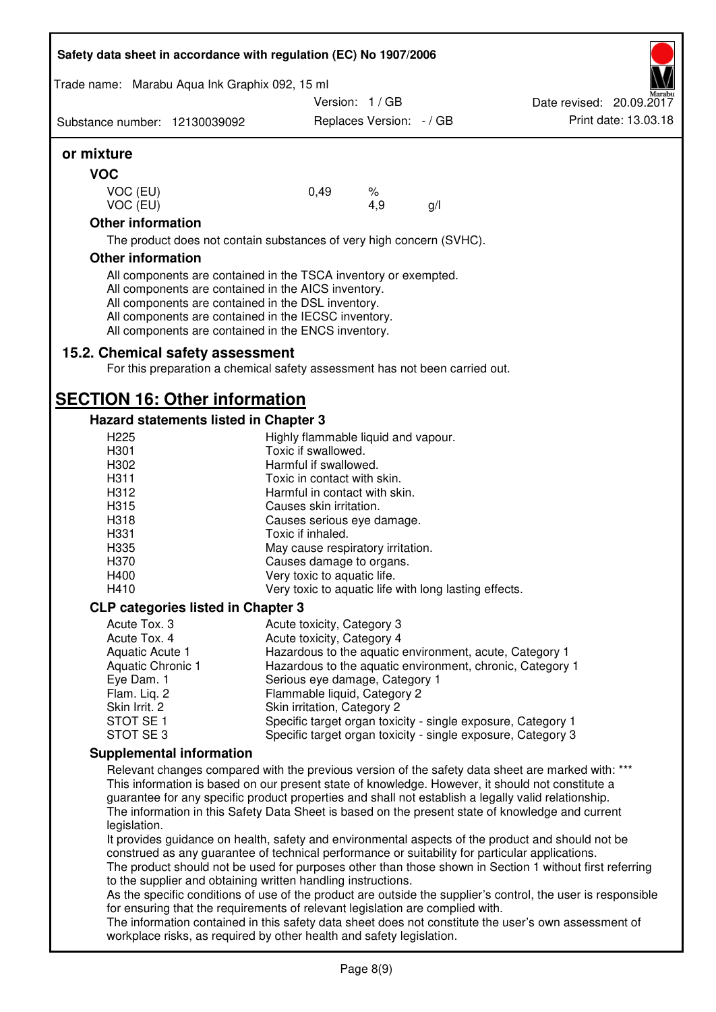| Safety data sheet in accordance with regulation (EC) No 1907/2006 |                                                                                                                        |                          |     |                                                                                                              |
|-------------------------------------------------------------------|------------------------------------------------------------------------------------------------------------------------|--------------------------|-----|--------------------------------------------------------------------------------------------------------------|
| Trade name: Marabu Aqua Ink Graphix 092, 15 ml                    |                                                                                                                        |                          |     |                                                                                                              |
|                                                                   | Version: 1/GB                                                                                                          |                          |     | Date revised: 20.09.2017                                                                                     |
| Substance number: 12130039092                                     |                                                                                                                        | Replaces Version: - / GB |     | Print date: 13.03.18                                                                                         |
| or mixture                                                        |                                                                                                                        |                          |     |                                                                                                              |
| <b>VOC</b>                                                        |                                                                                                                        |                          |     |                                                                                                              |
| VOC (EU)                                                          | 0,49                                                                                                                   | $\%$                     |     |                                                                                                              |
| VOC (EU)                                                          |                                                                                                                        | 4,9                      | g/l |                                                                                                              |
| <b>Other information</b>                                          |                                                                                                                        |                          |     |                                                                                                              |
|                                                                   | The product does not contain substances of very high concern (SVHC).                                                   |                          |     |                                                                                                              |
| <b>Other information</b>                                          |                                                                                                                        |                          |     |                                                                                                              |
|                                                                   | All components are contained in the TSCA inventory or exempted.<br>All components are contained in the AICS inventory. |                          |     |                                                                                                              |
|                                                                   | All components are contained in the DSL inventory.                                                                     |                          |     |                                                                                                              |
|                                                                   | All components are contained in the IECSC inventory.                                                                   |                          |     |                                                                                                              |
|                                                                   | All components are contained in the ENCS inventory.                                                                    |                          |     |                                                                                                              |
| 15.2. Chemical safety assessment                                  |                                                                                                                        |                          |     |                                                                                                              |
|                                                                   | For this preparation a chemical safety assessment has not been carried out.                                            |                          |     |                                                                                                              |
|                                                                   |                                                                                                                        |                          |     |                                                                                                              |
| <b>SECTION 16: Other information</b>                              |                                                                                                                        |                          |     |                                                                                                              |
| <b>Hazard statements listed in Chapter 3</b>                      |                                                                                                                        |                          |     |                                                                                                              |
| H <sub>225</sub><br>H301                                          | Highly flammable liquid and vapour.<br>Toxic if swallowed.                                                             |                          |     |                                                                                                              |
| H302                                                              | Harmful if swallowed.                                                                                                  |                          |     |                                                                                                              |
| H311                                                              | Toxic in contact with skin.                                                                                            |                          |     |                                                                                                              |
| H312                                                              | Harmful in contact with skin.                                                                                          |                          |     |                                                                                                              |
| H315                                                              | Causes skin irritation.                                                                                                |                          |     |                                                                                                              |
| H318                                                              | Causes serious eye damage.                                                                                             |                          |     |                                                                                                              |
| H331                                                              | Toxic if inhaled.                                                                                                      |                          |     |                                                                                                              |
| H335                                                              | May cause respiratory irritation.                                                                                      |                          |     |                                                                                                              |
| H370<br>H400                                                      | Causes damage to organs.<br>Very toxic to aquatic life.                                                                |                          |     |                                                                                                              |
| H410                                                              | Very toxic to aquatic life with long lasting effects.                                                                  |                          |     |                                                                                                              |
| <b>CLP categories listed in Chapter 3</b>                         |                                                                                                                        |                          |     |                                                                                                              |
| Acute Tox. 3                                                      | Acute toxicity, Category 3                                                                                             |                          |     |                                                                                                              |
| Acute Tox. 4                                                      | Acute toxicity, Category 4                                                                                             |                          |     |                                                                                                              |
| Aquatic Acute 1                                                   | Hazardous to the aquatic environment, acute, Category 1                                                                |                          |     |                                                                                                              |
| Aquatic Chronic 1                                                 | Hazardous to the aquatic environment, chronic, Category 1                                                              |                          |     |                                                                                                              |
| Eye Dam. 1                                                        | Serious eye damage, Category 1                                                                                         |                          |     |                                                                                                              |
| Flam. Liq. 2<br>Skin Irrit. 2                                     | Flammable liquid, Category 2<br>Skin irritation, Category 2                                                            |                          |     |                                                                                                              |
| STOT SE <sub>1</sub>                                              | Specific target organ toxicity - single exposure, Category 1                                                           |                          |     |                                                                                                              |
| STOT SE <sub>3</sub>                                              | Specific target organ toxicity - single exposure, Category 3                                                           |                          |     |                                                                                                              |
| <b>Supplemental information</b>                                   |                                                                                                                        |                          |     |                                                                                                              |
|                                                                   |                                                                                                                        |                          |     | Relevant changes compared with the previous version of the safety data sheet are marked with: ***            |
|                                                                   | This information is based on our present state of knowledge. However, it should not constitute a                       |                          |     |                                                                                                              |
|                                                                   | guarantee for any specific product properties and shall not establish a legally valid relationship.                    |                          |     |                                                                                                              |
|                                                                   |                                                                                                                        |                          |     | The information in this Safety Data Sheet is based on the present state of knowledge and current             |
| legislation.                                                      |                                                                                                                        |                          |     | It provides guidance on health, safety and environmental aspects of the product and should not be            |
|                                                                   | construed as any guarantee of technical performance or suitability for particular applications.                        |                          |     |                                                                                                              |
|                                                                   |                                                                                                                        |                          |     | The product should not be used for purposes other than those shown in Section 1 without first referring      |
|                                                                   | to the supplier and obtaining written handling instructions.                                                           |                          |     |                                                                                                              |
|                                                                   |                                                                                                                        |                          |     | As the specific conditions of use of the product are outside the supplier's control, the user is responsible |
|                                                                   | for ensuring that the requirements of relevant legislation are complied with.                                          |                          |     |                                                                                                              |

The information contained in this safety data sheet does not constitute the user's own assessment of workplace risks, as required by other health and safety legislation.